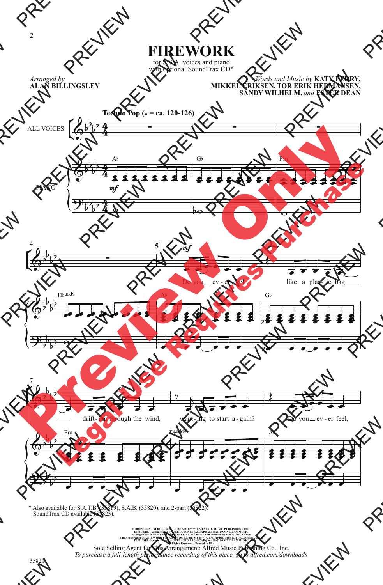## **FIREWORK**

for S.S.A. voices and piano with optional SoundTrax CD\*

*Arranged by* **ALAN BILLINGSLEY**

*Words and Music by* **KATY PERRY, MIKKEL ERIKSEN, TOR ERIK HERMANSEN, SANDY WILHELM,** *and* **ESTER DEAN**



\* Also available for S.A.T.B. (35819), S.A.B. (35820), and 2-part (35822). SoundTrax CD available (35823).

© 2010 WHEN TVA RICH VOUTL. BE ANY BP<sup>2444</sup>, EMI APRIL MUSIC PUBLISHING, INC., DIPIU SRL (Administered by ULTRA TUNES (ASCAP) and DAT DAMN DEAN MUSIC ORP.<br>DIPIU SRL (Administered by ULTRA TUNES (ASCAP) and DAT DAMN DEAN M Sole Selling Agent for This Arrangement: Alfred Music Publishing Co., Inc. *To purchase a full-length performance recording of this piece, go to alfred.com/downloads*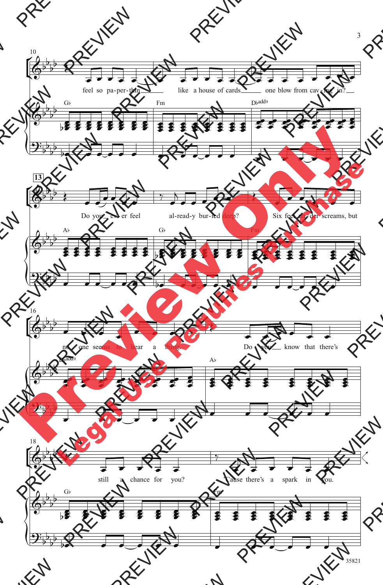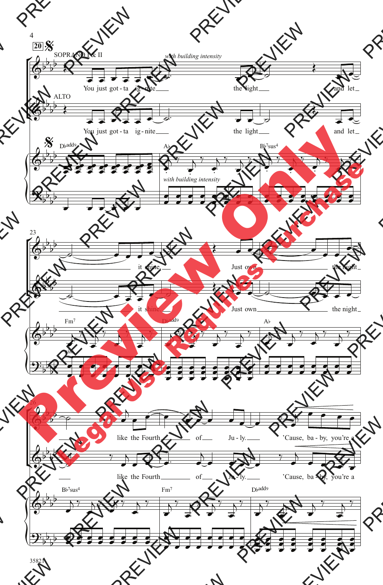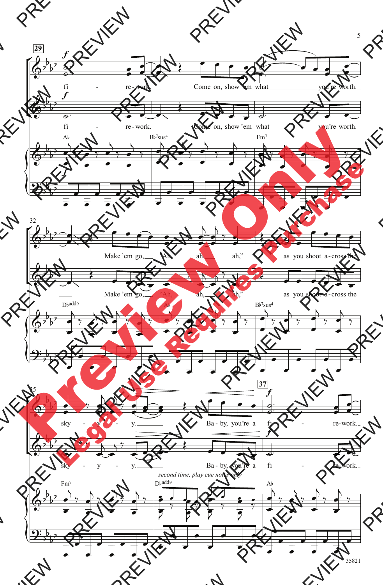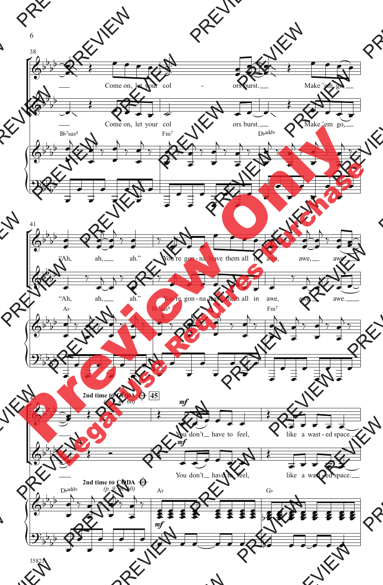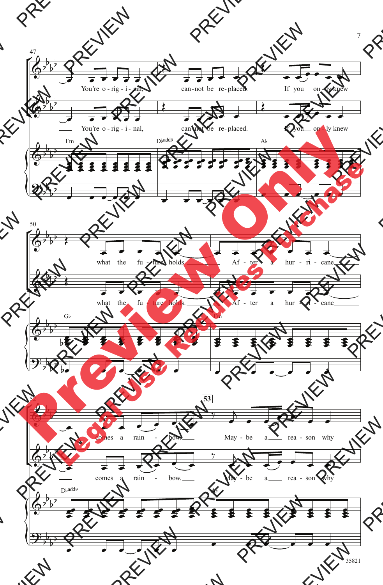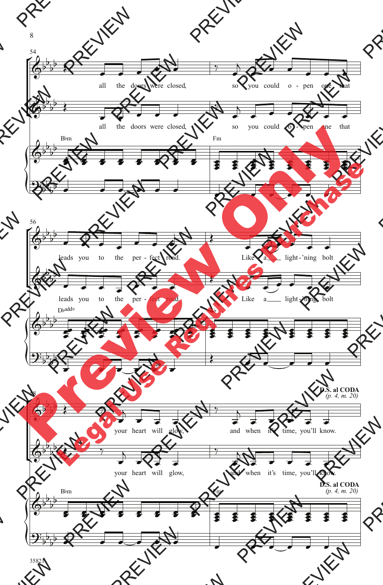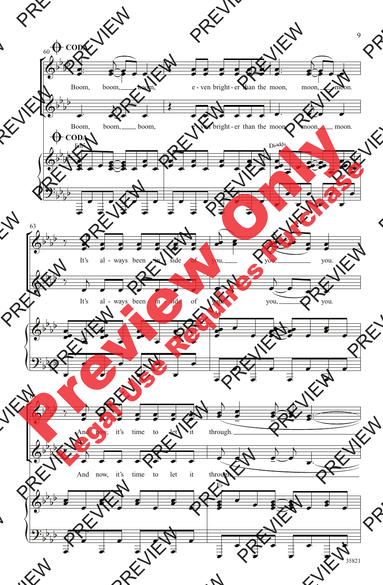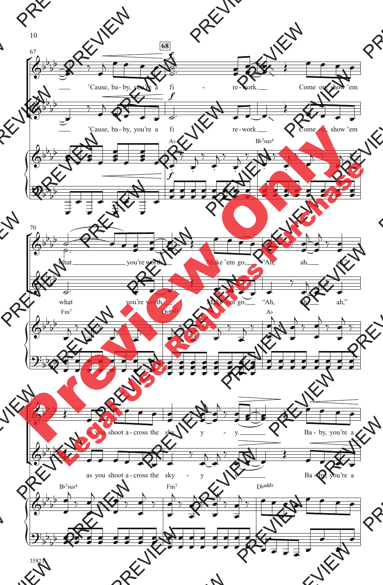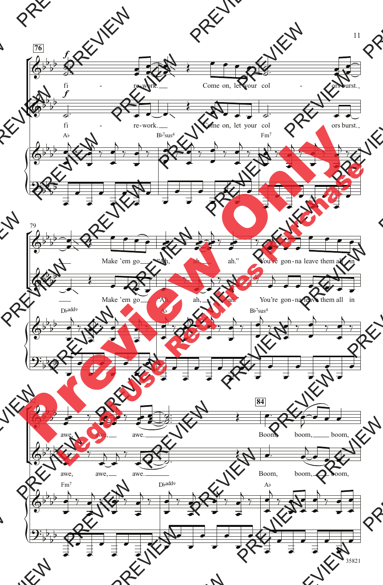